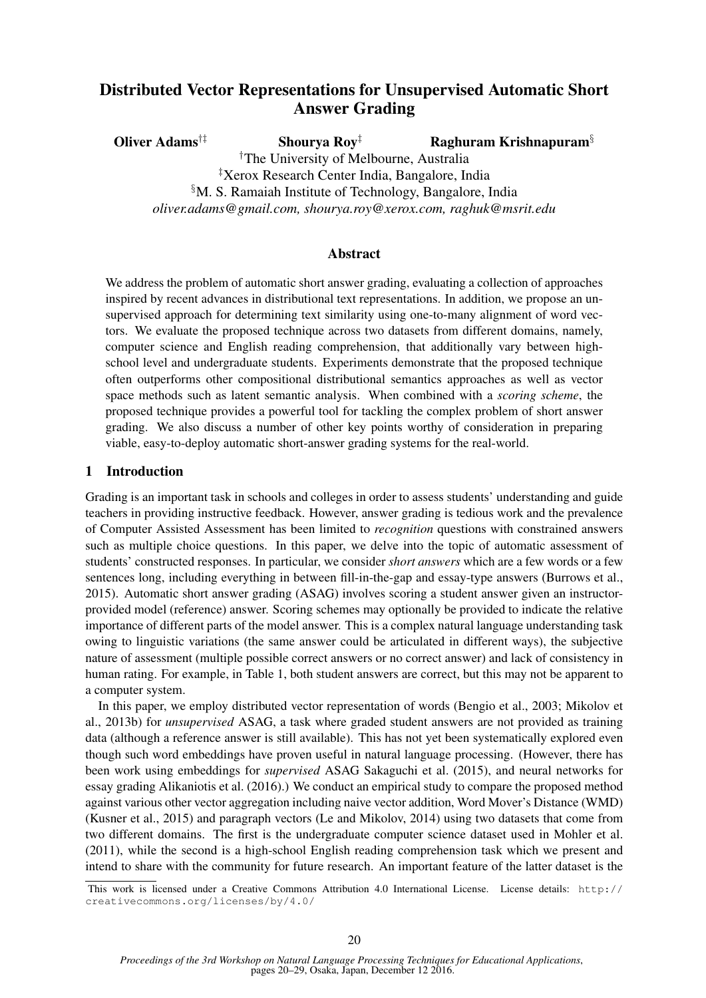# Distributed Vector Representations for Unsupervised Automatic Short Answer Grading

Oliver Adams<sup>†‡</sup> Shourya Roy<sup>‡</sup> Raghuram Krishnapuram<sup>§</sup> †The University of Melbourne, Australia ‡Xerox Research Center India, Bangalore, India §M. S. Ramaiah Institute of Technology, Bangalore, India *oliver.adams@gmail.com, shourya.roy@xerox.com, raghuk@msrit.edu*

#### Abstract

We address the problem of automatic short answer grading, evaluating a collection of approaches inspired by recent advances in distributional text representations. In addition, we propose an unsupervised approach for determining text similarity using one-to-many alignment of word vectors. We evaluate the proposed technique across two datasets from different domains, namely, computer science and English reading comprehension, that additionally vary between highschool level and undergraduate students. Experiments demonstrate that the proposed technique often outperforms other compositional distributional semantics approaches as well as vector space methods such as latent semantic analysis. When combined with a *scoring scheme*, the proposed technique provides a powerful tool for tackling the complex problem of short answer grading. We also discuss a number of other key points worthy of consideration in preparing viable, easy-to-deploy automatic short-answer grading systems for the real-world.

#### 1 Introduction

Grading is an important task in schools and colleges in order to assess students' understanding and guide teachers in providing instructive feedback. However, answer grading is tedious work and the prevalence of Computer Assisted Assessment has been limited to *recognition* questions with constrained answers such as multiple choice questions. In this paper, we delve into the topic of automatic assessment of students' constructed responses. In particular, we consider *short answers* which are a few words or a few sentences long, including everything in between fill-in-the-gap and essay-type answers (Burrows et al., 2015). Automatic short answer grading (ASAG) involves scoring a student answer given an instructorprovided model (reference) answer. Scoring schemes may optionally be provided to indicate the relative importance of different parts of the model answer. This is a complex natural language understanding task owing to linguistic variations (the same answer could be articulated in different ways), the subjective nature of assessment (multiple possible correct answers or no correct answer) and lack of consistency in human rating. For example, in Table 1, both student answers are correct, but this may not be apparent to a computer system.

In this paper, we employ distributed vector representation of words (Bengio et al., 2003; Mikolov et al., 2013b) for *unsupervised* ASAG, a task where graded student answers are not provided as training data (although a reference answer is still available). This has not yet been systematically explored even though such word embeddings have proven useful in natural language processing. (However, there has been work using embeddings for *supervised* ASAG Sakaguchi et al. (2015), and neural networks for essay grading Alikaniotis et al. (2016).) We conduct an empirical study to compare the proposed method against various other vector aggregation including naive vector addition, Word Mover's Distance (WMD) (Kusner et al., 2015) and paragraph vectors (Le and Mikolov, 2014) using two datasets that come from two different domains. The first is the undergraduate computer science dataset used in Mohler et al. (2011), while the second is a high-school English reading comprehension task which we present and intend to share with the community for future research. An important feature of the latter dataset is the

This work is licensed under a Creative Commons Attribution 4.0 International License. License details: http:// creativecommons.org/licenses/by/4.0/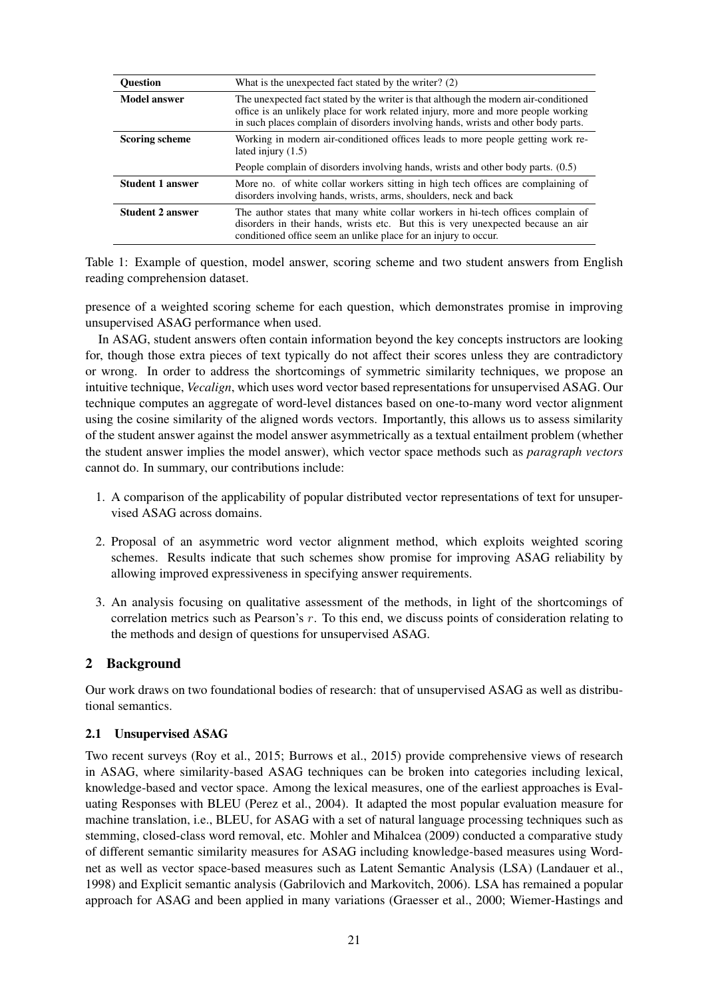| <b>Ouestion</b>         | What is the unexpected fact stated by the writer? (2)                                                                                                                                                                                                           |
|-------------------------|-----------------------------------------------------------------------------------------------------------------------------------------------------------------------------------------------------------------------------------------------------------------|
| <b>Model answer</b>     | The unexpected fact stated by the writer is that although the modern air-conditioned<br>office is an unlikely place for work related injury, more and more people working<br>in such places complain of disorders involving hands, wrists and other body parts. |
| <b>Scoring scheme</b>   | Working in modern air-conditioned offices leads to more people getting work re-<br>lated injury $(1.5)$                                                                                                                                                         |
|                         | People complain of disorders involving hands, wrists and other body parts. (0.5)                                                                                                                                                                                |
| <b>Student 1 answer</b> | More no. of white collar workers sitting in high tech offices are complaining of<br>disorders involving hands, wrists, arms, shoulders, neck and back                                                                                                           |
| <b>Student 2 answer</b> | The author states that many white collar workers in hi-tech offices complain of<br>disorders in their hands, wrists etc. But this is very unexpected because an air<br>conditioned office seem an unlike place for an injury to occur.                          |

Table 1: Example of question, model answer, scoring scheme and two student answers from English reading comprehension dataset.

presence of a weighted scoring scheme for each question, which demonstrates promise in improving unsupervised ASAG performance when used.

In ASAG, student answers often contain information beyond the key concepts instructors are looking for, though those extra pieces of text typically do not affect their scores unless they are contradictory or wrong. In order to address the shortcomings of symmetric similarity techniques, we propose an intuitive technique, *Vecalign*, which uses word vector based representations for unsupervised ASAG. Our technique computes an aggregate of word-level distances based on one-to-many word vector alignment using the cosine similarity of the aligned words vectors. Importantly, this allows us to assess similarity of the student answer against the model answer asymmetrically as a textual entailment problem (whether the student answer implies the model answer), which vector space methods such as *paragraph vectors* cannot do. In summary, our contributions include:

- 1. A comparison of the applicability of popular distributed vector representations of text for unsupervised ASAG across domains.
- 2. Proposal of an asymmetric word vector alignment method, which exploits weighted scoring schemes. Results indicate that such schemes show promise for improving ASAG reliability by allowing improved expressiveness in specifying answer requirements.
- 3. An analysis focusing on qualitative assessment of the methods, in light of the shortcomings of correlation metrics such as Pearson's r. To this end, we discuss points of consideration relating to the methods and design of questions for unsupervised ASAG.

## 2 Background

Our work draws on two foundational bodies of research: that of unsupervised ASAG as well as distributional semantics.

#### 2.1 Unsupervised ASAG

Two recent surveys (Roy et al., 2015; Burrows et al., 2015) provide comprehensive views of research in ASAG, where similarity-based ASAG techniques can be broken into categories including lexical, knowledge-based and vector space. Among the lexical measures, one of the earliest approaches is Evaluating Responses with BLEU (Perez et al., 2004). It adapted the most popular evaluation measure for machine translation, i.e., BLEU, for ASAG with a set of natural language processing techniques such as stemming, closed-class word removal, etc. Mohler and Mihalcea (2009) conducted a comparative study of different semantic similarity measures for ASAG including knowledge-based measures using Wordnet as well as vector space-based measures such as Latent Semantic Analysis (LSA) (Landauer et al., 1998) and Explicit semantic analysis (Gabrilovich and Markovitch, 2006). LSA has remained a popular approach for ASAG and been applied in many variations (Graesser et al., 2000; Wiemer-Hastings and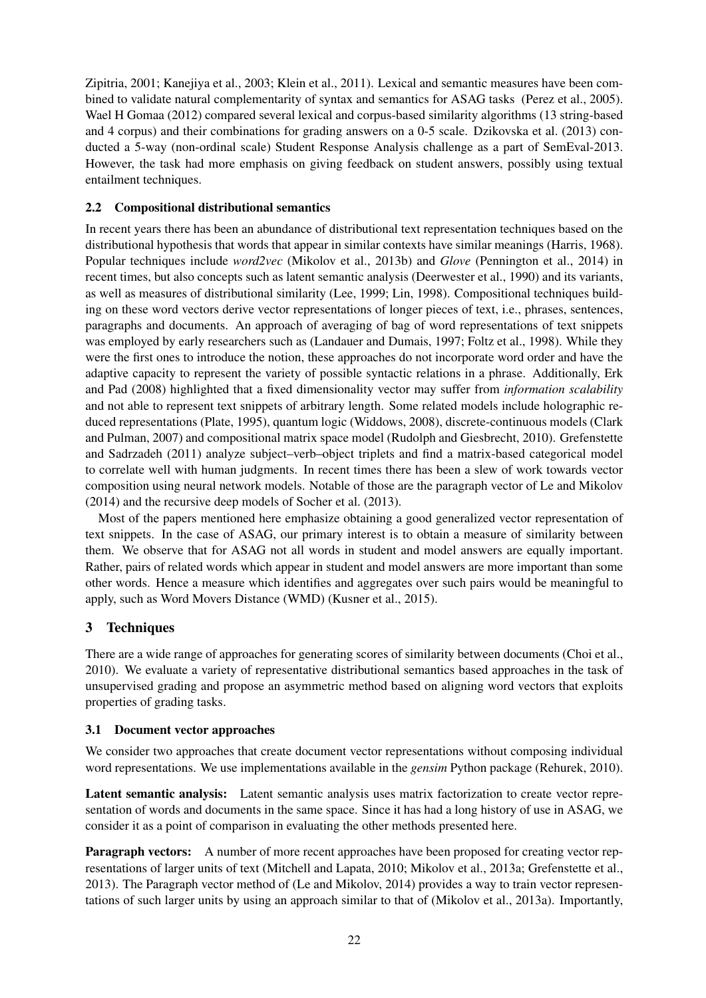Zipitria, 2001; Kanejiya et al., 2003; Klein et al., 2011). Lexical and semantic measures have been combined to validate natural complementarity of syntax and semantics for ASAG tasks (Perez et al., 2005). Wael H Gomaa (2012) compared several lexical and corpus-based similarity algorithms (13 string-based and 4 corpus) and their combinations for grading answers on a 0-5 scale. Dzikovska et al. (2013) conducted a 5-way (non-ordinal scale) Student Response Analysis challenge as a part of SemEval-2013. However, the task had more emphasis on giving feedback on student answers, possibly using textual entailment techniques.

### 2.2 Compositional distributional semantics

In recent years there has been an abundance of distributional text representation techniques based on the distributional hypothesis that words that appear in similar contexts have similar meanings (Harris, 1968). Popular techniques include *word2vec* (Mikolov et al., 2013b) and *Glove* (Pennington et al., 2014) in recent times, but also concepts such as latent semantic analysis (Deerwester et al., 1990) and its variants, as well as measures of distributional similarity (Lee, 1999; Lin, 1998). Compositional techniques building on these word vectors derive vector representations of longer pieces of text, i.e., phrases, sentences, paragraphs and documents. An approach of averaging of bag of word representations of text snippets was employed by early researchers such as (Landauer and Dumais, 1997; Foltz et al., 1998). While they were the first ones to introduce the notion, these approaches do not incorporate word order and have the adaptive capacity to represent the variety of possible syntactic relations in a phrase. Additionally, Erk and Pad (2008) highlighted that a fixed dimensionality vector may suffer from *information scalability* and not able to represent text snippets of arbitrary length. Some related models include holographic reduced representations (Plate, 1995), quantum logic (Widdows, 2008), discrete-continuous models (Clark and Pulman, 2007) and compositional matrix space model (Rudolph and Giesbrecht, 2010). Grefenstette and Sadrzadeh (2011) analyze subject–verb–object triplets and find a matrix-based categorical model to correlate well with human judgments. In recent times there has been a slew of work towards vector composition using neural network models. Notable of those are the paragraph vector of Le and Mikolov (2014) and the recursive deep models of Socher et al. (2013).

Most of the papers mentioned here emphasize obtaining a good generalized vector representation of text snippets. In the case of ASAG, our primary interest is to obtain a measure of similarity between them. We observe that for ASAG not all words in student and model answers are equally important. Rather, pairs of related words which appear in student and model answers are more important than some other words. Hence a measure which identifies and aggregates over such pairs would be meaningful to apply, such as Word Movers Distance (WMD) (Kusner et al., 2015).

## 3 Techniques

There are a wide range of approaches for generating scores of similarity between documents (Choi et al., 2010). We evaluate a variety of representative distributional semantics based approaches in the task of unsupervised grading and propose an asymmetric method based on aligning word vectors that exploits properties of grading tasks.

#### 3.1 Document vector approaches

We consider two approaches that create document vector representations without composing individual word representations. We use implementations available in the *gensim* Python package (Rehurek, 2010).

Latent semantic analysis: Latent semantic analysis uses matrix factorization to create vector representation of words and documents in the same space. Since it has had a long history of use in ASAG, we consider it as a point of comparison in evaluating the other methods presented here.

**Paragraph vectors:** A number of more recent approaches have been proposed for creating vector representations of larger units of text (Mitchell and Lapata, 2010; Mikolov et al., 2013a; Grefenstette et al., 2013). The Paragraph vector method of (Le and Mikolov, 2014) provides a way to train vector representations of such larger units by using an approach similar to that of (Mikolov et al., 2013a). Importantly,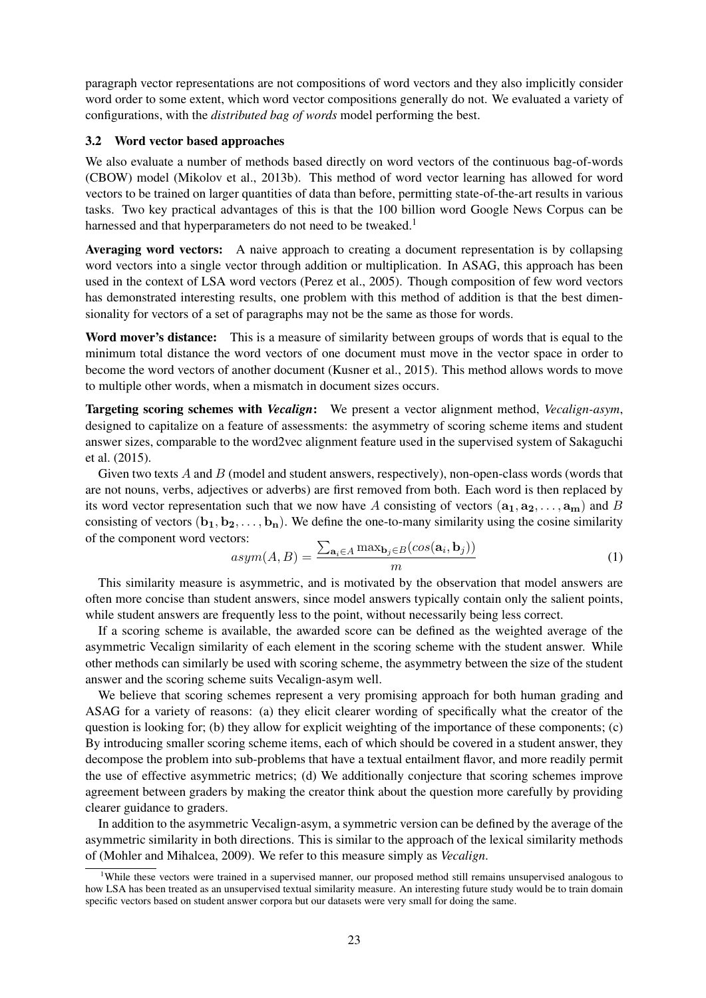paragraph vector representations are not compositions of word vectors and they also implicitly consider word order to some extent, which word vector compositions generally do not. We evaluated a variety of configurations, with the *distributed bag of words* model performing the best.

#### 3.2 Word vector based approaches

We also evaluate a number of methods based directly on word vectors of the continuous bag-of-words (CBOW) model (Mikolov et al., 2013b). This method of word vector learning has allowed for word vectors to be trained on larger quantities of data than before, permitting state-of-the-art results in various tasks. Two key practical advantages of this is that the 100 billion word Google News Corpus can be harnessed and that hyperparameters do not need to be tweaked.<sup>1</sup>

Averaging word vectors: A naive approach to creating a document representation is by collapsing word vectors into a single vector through addition or multiplication. In ASAG, this approach has been used in the context of LSA word vectors (Perez et al., 2005). Though composition of few word vectors has demonstrated interesting results, one problem with this method of addition is that the best dimensionality for vectors of a set of paragraphs may not be the same as those for words.

Word mover's distance: This is a measure of similarity between groups of words that is equal to the minimum total distance the word vectors of one document must move in the vector space in order to become the word vectors of another document (Kusner et al., 2015). This method allows words to move to multiple other words, when a mismatch in document sizes occurs.

Targeting scoring schemes with *Vecalign*: We present a vector alignment method, *Vecalign-asym*, designed to capitalize on a feature of assessments: the asymmetry of scoring scheme items and student answer sizes, comparable to the word2vec alignment feature used in the supervised system of Sakaguchi et al. (2015).

Given two texts A and B (model and student answers, respectively), non-open-class words (words that are not nouns, verbs, adjectives or adverbs) are first removed from both. Each word is then replaced by its word vector representation such that we now have A consisting of vectors  $(a_1, a_2, \ldots, a_m)$  and B consisting of vectors  $(b_1, b_2, \ldots, b_n)$ . We define the one-to-many similarity using the cosine similarity of the component word vectors:

$$
asym(A, B) = \frac{\sum_{\mathbf{a}_i \in A} \max_{\mathbf{b}_j \in B} (cos(\mathbf{a}_i, \mathbf{b}_j))}{m}
$$
(1)

This similarity measure is asymmetric, and is motivated by the observation that model answers are often more concise than student answers, since model answers typically contain only the salient points, while student answers are frequently less to the point, without necessarily being less correct.

If a scoring scheme is available, the awarded score can be defined as the weighted average of the asymmetric Vecalign similarity of each element in the scoring scheme with the student answer. While other methods can similarly be used with scoring scheme, the asymmetry between the size of the student answer and the scoring scheme suits Vecalign-asym well.

We believe that scoring schemes represent a very promising approach for both human grading and ASAG for a variety of reasons: (a) they elicit clearer wording of specifically what the creator of the question is looking for; (b) they allow for explicit weighting of the importance of these components; (c) By introducing smaller scoring scheme items, each of which should be covered in a student answer, they decompose the problem into sub-problems that have a textual entailment flavor, and more readily permit the use of effective asymmetric metrics; (d) We additionally conjecture that scoring schemes improve agreement between graders by making the creator think about the question more carefully by providing clearer guidance to graders.

In addition to the asymmetric Vecalign-asym, a symmetric version can be defined by the average of the asymmetric similarity in both directions. This is similar to the approach of the lexical similarity methods of (Mohler and Mihalcea, 2009). We refer to this measure simply as *Vecalign*.

<sup>&</sup>lt;sup>1</sup>While these vectors were trained in a supervised manner, our proposed method still remains unsupervised analogous to how LSA has been treated as an unsupervised textual similarity measure. An interesting future study would be to train domain specific vectors based on student answer corpora but our datasets were very small for doing the same.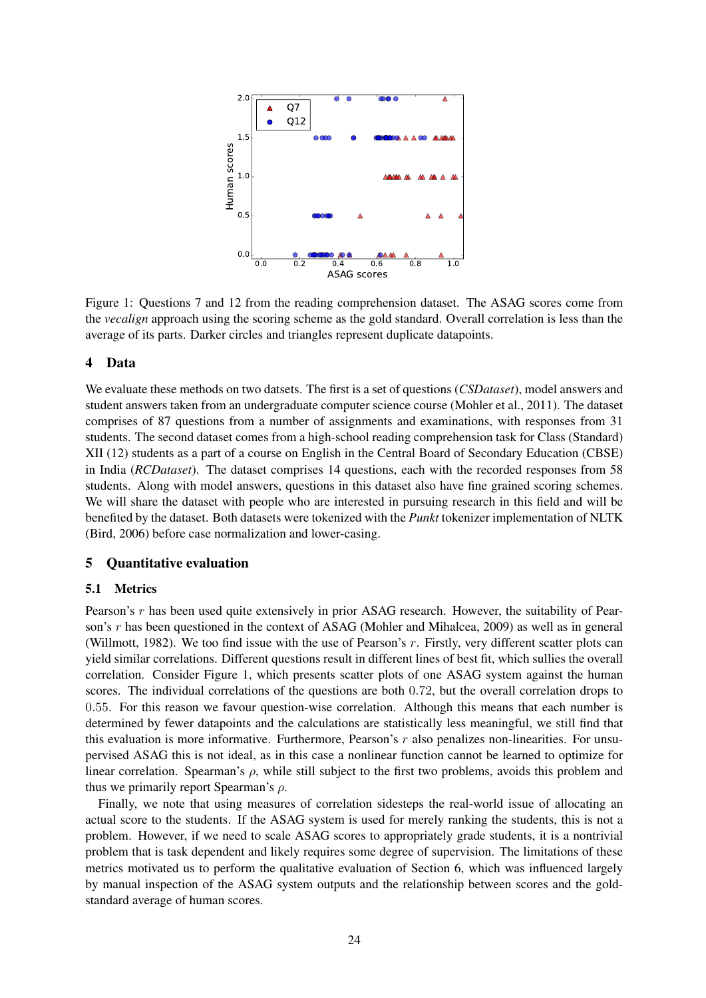

Figure 1: Questions 7 and 12 from the reading comprehension dataset. The ASAG scores come from the *vecalign* approach using the scoring scheme as the gold standard. Overall correlation is less than the average of its parts. Darker circles and triangles represent duplicate datapoints.

#### 4 Data

We evaluate these methods on two datsets. The first is a set of questions (*CSDataset*), model answers and student answers taken from an undergraduate computer science course (Mohler et al., 2011). The dataset comprises of 87 questions from a number of assignments and examinations, with responses from 31 students. The second dataset comes from a high-school reading comprehension task for Class (Standard) XII (12) students as a part of a course on English in the Central Board of Secondary Education (CBSE) in India (*RCDataset*). The dataset comprises 14 questions, each with the recorded responses from 58 students. Along with model answers, questions in this dataset also have fine grained scoring schemes. We will share the dataset with people who are interested in pursuing research in this field and will be benefited by the dataset. Both datasets were tokenized with the *Punkt* tokenizer implementation of NLTK (Bird, 2006) before case normalization and lower-casing.

#### 5 Quantitative evaluation

#### 5.1 Metrics

Pearson's r has been used quite extensively in prior ASAG research. However, the suitability of Pearson's r has been questioned in the context of ASAG (Mohler and Mihalcea, 2009) as well as in general (Willmott, 1982). We too find issue with the use of Pearson's  $r$ . Firstly, very different scatter plots can yield similar correlations. Different questions result in different lines of best fit, which sullies the overall correlation. Consider Figure 1, which presents scatter plots of one ASAG system against the human scores. The individual correlations of the questions are both 0.72, but the overall correlation drops to 0.55. For this reason we favour question-wise correlation. Although this means that each number is determined by fewer datapoints and the calculations are statistically less meaningful, we still find that this evaluation is more informative. Furthermore, Pearson's  $r$  also penalizes non-linearities. For unsupervised ASAG this is not ideal, as in this case a nonlinear function cannot be learned to optimize for linear correlation. Spearman's  $\rho$ , while still subject to the first two problems, avoids this problem and thus we primarily report Spearman's  $\rho$ .

Finally, we note that using measures of correlation sidesteps the real-world issue of allocating an actual score to the students. If the ASAG system is used for merely ranking the students, this is not a problem. However, if we need to scale ASAG scores to appropriately grade students, it is a nontrivial problem that is task dependent and likely requires some degree of supervision. The limitations of these metrics motivated us to perform the qualitative evaluation of Section 6, which was influenced largely by manual inspection of the ASAG system outputs and the relationship between scores and the goldstandard average of human scores.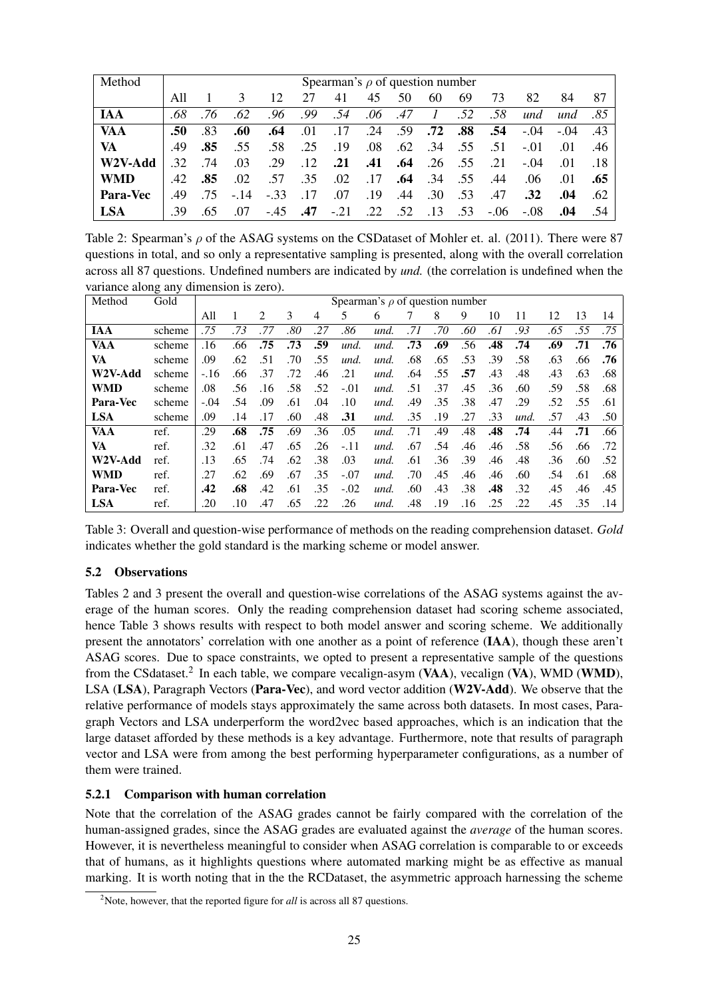| Method          | Spearman's $\rho$ of question number |     |               |        |     |       |     |     |                   |     |        |                  |        |                  |
|-----------------|--------------------------------------|-----|---------------|--------|-----|-------|-----|-----|-------------------|-----|--------|------------------|--------|------------------|
|                 | All                                  |     | $\mathcal{R}$ | 12     | 27  | 41    | 45  | 50  | 60                | 69  | 73     | 82               | 84     | 87               |
| <b>JAA</b>      | .68                                  | .76 | .62           | .96    | .99 | .54   | .06 | .47 | $\mathcal{I}$     | .52 | .58    | und              | und    | .85              |
| <b>VAA</b>      | .50                                  | .83 | .60           | .64    | .01 | .17   | .24 | .59 | .72               | .88 | .54    | $-.04$           | $-.04$ | .43              |
| <b>VA</b>       | .49                                  | .85 | .55           | .58    | .25 | .19   | .08 |     | .62 .34 .55       |     | .51    | $-.01$           | .01    | .46              |
| W2V-Add         | .32                                  | .74 | .03           | .29    | .12 | .21   | .41 |     | $.64$ . 26 . 55   |     | .21    | $-.04$           | .01    | .18              |
| <b>WMD</b>      | .42                                  | .85 | .02           | .57    | .35 | .02   | .17 |     | $.64$ $.34$ $.55$ |     | .44    | .06              | .01    | .65              |
| <b>Para-Vec</b> | .49                                  | .75 | $-.14$        | $-.33$ | .17 | .07   | .19 | .44 | .30               | .53 | .47    | .32 <sub>0</sub> | .04    | .62 <sub>1</sub> |
| <b>LSA</b>      | .39                                  | .65 | -07           | $-45$  | .47 | $-21$ | .22 | .52 | .13               | .53 | $-.06$ | $-.08$           | .04    | .54              |

Table 2: Spearman's  $\rho$  of the ASAG systems on the CSD ataset of Mohler et. al. (2011). There were 87 questions in total, and so only a representative sampling is presented, along with the overall correlation across all 87 questions. Undefined numbers are indicated by *und.* (the correlation is undefined when the variance along any dimension is zero).

| Method     | Gold   | Spearman's $\rho$ of question number |     |               |     |     |        |      |     |     |     |     |      |     |     |     |
|------------|--------|--------------------------------------|-----|---------------|-----|-----|--------|------|-----|-----|-----|-----|------|-----|-----|-----|
|            |        | All                                  |     | $\mathcal{L}$ | 3   | 4   | 5      | 6    |     | 8   | 9   | 10  | 11   | 12  | 13  | 14  |
| <b>IAA</b> | scheme | .75                                  | .73 | .77           | .80 | .27 | .86    | und. | .71 | .70 | .60 | .61 | .93  | .65 | .55 | .75 |
| VAA        | scheme | .16                                  | .66 | .75           | .73 | .59 | und.   | und. | .73 | .69 | .56 | .48 | .74  | .69 | .71 | .76 |
| VA         | scheme | .09                                  | .62 | .51           | .70 | .55 | und.   | und. | .68 | .65 | .53 | .39 | .58  | .63 | .66 | .76 |
| W2V-Add    | scheme | $-.16$                               | .66 | .37           | .72 | .46 | .21    | und. | .64 | .55 | .57 | .43 | .48  | .43 | .63 | .68 |
| <b>WMD</b> | scheme | .08                                  | .56 | .16           | .58 | .52 | $-.01$ | und. | .51 | .37 | .45 | .36 | .60  | .59 | .58 | .68 |
| Para-Vec   | scheme | $-.04$                               | .54 | .09           | .61 | .04 | .10    | und. | .49 | .35 | .38 | .47 | .29  | .52 | .55 | .61 |
| <b>LSA</b> | scheme | .09                                  | .14 | .17           | .60 | .48 | .31    | und. | .35 | .19 | .27 | .33 | und. | .57 | .43 | .50 |
| VAA        | ref.   | .29                                  | .68 | .75           | .69 | .36 | .05    | und. | .71 | .49 | .48 | .48 | .74  | .44 | .71 | .66 |
| VA         | ref.   | .32                                  | .61 | .47           | .65 | .26 | $-.11$ | und. | .67 | .54 | .46 | .46 | .58  | .56 | .66 | .72 |
| W2V-Add    | ref.   | .13                                  | .65 | .74           | .62 | .38 | .03    | und. | .61 | .36 | .39 | .46 | .48  | .36 | .60 | .52 |
| <b>WMD</b> | ref.   | .27                                  | .62 | .69           | .67 | .35 | $-.07$ | und. | .70 | .45 | .46 | .46 | .60  | .54 | .61 | .68 |
| Para-Vec   | ref.   | .42                                  | .68 | .42           | .61 | .35 | $-.02$ | und. | .60 | .43 | .38 | .48 | .32  | .45 | .46 | .45 |
| <b>LSA</b> | ref.   | .20                                  | .10 | .47           | .65 | .22 | .26    | und. | .48 | .19 | .16 | .25 | .22  | .45 | .35 | .14 |

Table 3: Overall and question-wise performance of methods on the reading comprehension dataset. *Gold* indicates whether the gold standard is the marking scheme or model answer.

## 5.2 Observations

Tables 2 and 3 present the overall and question-wise correlations of the ASAG systems against the average of the human scores. Only the reading comprehension dataset had scoring scheme associated, hence Table 3 shows results with respect to both model answer and scoring scheme. We additionally present the annotators' correlation with one another as a point of reference (IAA), though these aren't ASAG scores. Due to space constraints, we opted to present a representative sample of the questions from the CSdataset.<sup>2</sup> In each table, we compare vecalign-asym (VAA), vecalign (VA), WMD (WMD), LSA (LSA), Paragraph Vectors (Para-Vec), and word vector addition (W2V-Add). We observe that the relative performance of models stays approximately the same across both datasets. In most cases, Paragraph Vectors and LSA underperform the word2vec based approaches, which is an indication that the large dataset afforded by these methods is a key advantage. Furthermore, note that results of paragraph vector and LSA were from among the best performing hyperparameter configurations, as a number of them were trained.

## 5.2.1 Comparison with human correlation

Note that the correlation of the ASAG grades cannot be fairly compared with the correlation of the human-assigned grades, since the ASAG grades are evaluated against the *average* of the human scores. However, it is nevertheless meaningful to consider when ASAG correlation is comparable to or exceeds that of humans, as it highlights questions where automated marking might be as effective as manual marking. It is worth noting that in the the RCDataset, the asymmetric approach harnessing the scheme

<sup>&</sup>lt;sup>2</sup>Note, however, that the reported figure for *all* is across all 87 questions.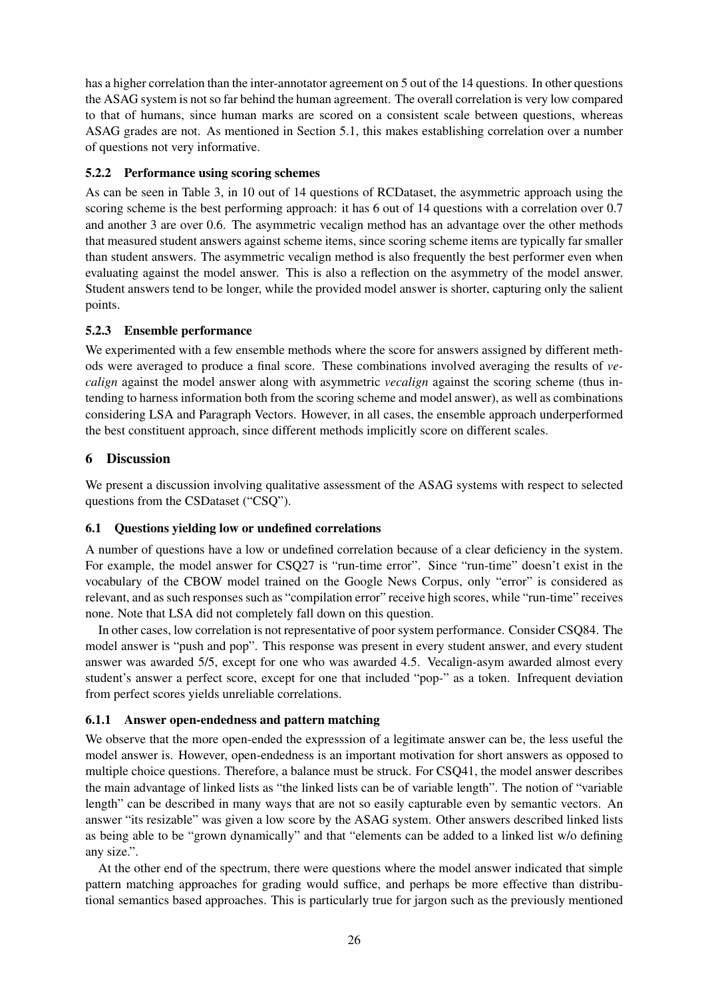has a higher correlation than the inter-annotator agreement on 5 out of the 14 questions. In other questions the ASAG system is not so far behind the human agreement. The overall correlation is very low compared to that of humans, since human marks are scored on a consistent scale between questions, whereas ASAG grades are not. As mentioned in Section 5.1, this makes establishing correlation over a number of questions not very informative.

## 5.2.2 Performance using scoring schemes

As can be seen in Table 3, in 10 out of 14 questions of RCDataset, the asymmetric approach using the scoring scheme is the best performing approach: it has 6 out of 14 questions with a correlation over 0.7 and another 3 are over 0.6. The asymmetric vecalign method has an advantage over the other methods that measured student answers against scheme items, since scoring scheme items are typically far smaller than student answers. The asymmetric vecalign method is also frequently the best performer even when evaluating against the model answer. This is also a reflection on the asymmetry of the model answer. Student answers tend to be longer, while the provided model answer is shorter, capturing only the salient points.

### 5.2.3 Ensemble performance

We experimented with a few ensemble methods where the score for answers assigned by different methods were averaged to produce a final score. These combinations involved averaging the results of *vecalign* against the model answer along with asymmetric *vecalign* against the scoring scheme (thus intending to harness information both from the scoring scheme and model answer), as well as combinations considering LSA and Paragraph Vectors. However, in all cases, the ensemble approach underperformed the best constituent approach, since different methods implicitly score on different scales.

## 6 Discussion

We present a discussion involving qualitative assessment of the ASAG systems with respect to selected questions from the CSDataset ("CSQ").

#### 6.1 Questions yielding low or undefined correlations

A number of questions have a low or undefined correlation because of a clear deficiency in the system. For example, the model answer for CSQ27 is "run-time error". Since "run-time" doesn't exist in the vocabulary of the CBOW model trained on the Google News Corpus, only "error" is considered as relevant, and as such responses such as "compilation error" receive high scores, while "run-time" receives none. Note that LSA did not completely fall down on this question.

In other cases, low correlation is not representative of poor system performance. Consider CSQ84. The model answer is "push and pop". This response was present in every student answer, and every student answer was awarded 5/5, except for one who was awarded 4.5. Vecalign-asym awarded almost every student's answer a perfect score, except for one that included "pop-" as a token. Infrequent deviation from perfect scores yields unreliable correlations.

#### 6.1.1 Answer open-endedness and pattern matching

We observe that the more open-ended the expresssion of a legitimate answer can be, the less useful the model answer is. However, open-endedness is an important motivation for short answers as opposed to multiple choice questions. Therefore, a balance must be struck. For CSQ41, the model answer describes the main advantage of linked lists as "the linked lists can be of variable length". The notion of "variable length" can be described in many ways that are not so easily capturable even by semantic vectors. An answer "its resizable" was given a low score by the ASAG system. Other answers described linked lists as being able to be "grown dynamically" and that "elements can be added to a linked list w/o defining any size.".

At the other end of the spectrum, there were questions where the model answer indicated that simple pattern matching approaches for grading would suffice, and perhaps be more effective than distributional semantics based approaches. This is particularly true for jargon such as the previously mentioned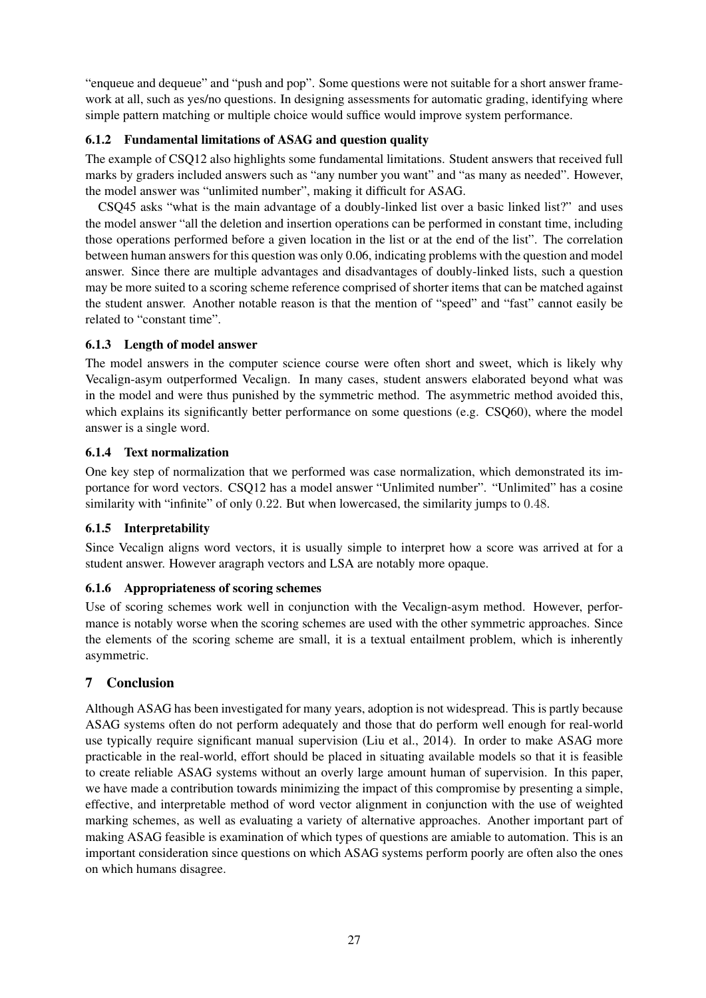"enqueue and dequeue" and "push and pop". Some questions were not suitable for a short answer framework at all, such as yes/no questions. In designing assessments for automatic grading, identifying where simple pattern matching or multiple choice would suffice would improve system performance.

## 6.1.2 Fundamental limitations of ASAG and question quality

The example of CSQ12 also highlights some fundamental limitations. Student answers that received full marks by graders included answers such as "any number you want" and "as many as needed". However, the model answer was "unlimited number", making it difficult for ASAG.

CSQ45 asks "what is the main advantage of a doubly-linked list over a basic linked list?" and uses the model answer "all the deletion and insertion operations can be performed in constant time, including those operations performed before a given location in the list or at the end of the list". The correlation between human answers for this question was only 0.06, indicating problems with the question and model answer. Since there are multiple advantages and disadvantages of doubly-linked lists, such a question may be more suited to a scoring scheme reference comprised of shorter items that can be matched against the student answer. Another notable reason is that the mention of "speed" and "fast" cannot easily be related to "constant time".

## 6.1.3 Length of model answer

The model answers in the computer science course were often short and sweet, which is likely why Vecalign-asym outperformed Vecalign. In many cases, student answers elaborated beyond what was in the model and were thus punished by the symmetric method. The asymmetric method avoided this, which explains its significantly better performance on some questions (e.g. CSO60), where the model answer is a single word.

## 6.1.4 Text normalization

One key step of normalization that we performed was case normalization, which demonstrated its importance for word vectors. CSQ12 has a model answer "Unlimited number". "Unlimited" has a cosine similarity with "infinite" of only 0.22. But when lowercased, the similarity jumps to 0.48.

## 6.1.5 Interpretability

Since Vecalign aligns word vectors, it is usually simple to interpret how a score was arrived at for a student answer. However aragraph vectors and LSA are notably more opaque.

## 6.1.6 Appropriateness of scoring schemes

Use of scoring schemes work well in conjunction with the Vecalign-asym method. However, performance is notably worse when the scoring schemes are used with the other symmetric approaches. Since the elements of the scoring scheme are small, it is a textual entailment problem, which is inherently asymmetric.

## 7 Conclusion

Although ASAG has been investigated for many years, adoption is not widespread. This is partly because ASAG systems often do not perform adequately and those that do perform well enough for real-world use typically require significant manual supervision (Liu et al., 2014). In order to make ASAG more practicable in the real-world, effort should be placed in situating available models so that it is feasible to create reliable ASAG systems without an overly large amount human of supervision. In this paper, we have made a contribution towards minimizing the impact of this compromise by presenting a simple, effective, and interpretable method of word vector alignment in conjunction with the use of weighted marking schemes, as well as evaluating a variety of alternative approaches. Another important part of making ASAG feasible is examination of which types of questions are amiable to automation. This is an important consideration since questions on which ASAG systems perform poorly are often also the ones on which humans disagree.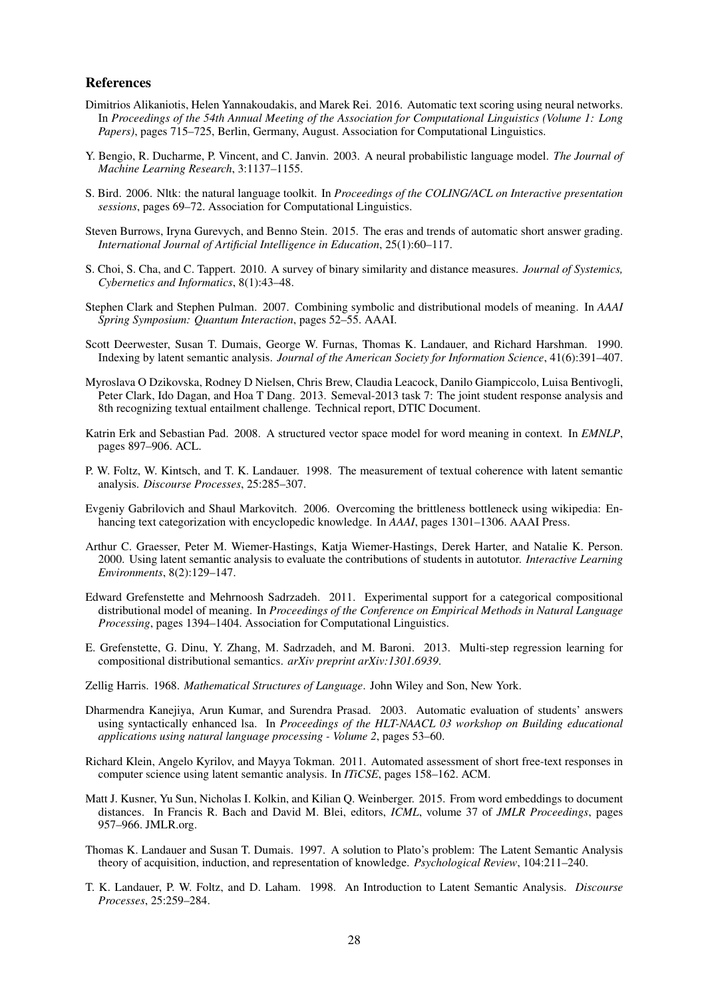#### References

- Dimitrios Alikaniotis, Helen Yannakoudakis, and Marek Rei. 2016. Automatic text scoring using neural networks. In *Proceedings of the 54th Annual Meeting of the Association for Computational Linguistics (Volume 1: Long Papers)*, pages 715–725, Berlin, Germany, August. Association for Computational Linguistics.
- Y. Bengio, R. Ducharme, P. Vincent, and C. Janvin. 2003. A neural probabilistic language model. *The Journal of Machine Learning Research*, 3:1137–1155.
- S. Bird. 2006. Nltk: the natural language toolkit. In *Proceedings of the COLING/ACL on Interactive presentation sessions*, pages 69–72. Association for Computational Linguistics.
- Steven Burrows, Iryna Gurevych, and Benno Stein. 2015. The eras and trends of automatic short answer grading. *International Journal of Artificial Intelligence in Education*, 25(1):60–117.
- S. Choi, S. Cha, and C. Tappert. 2010. A survey of binary similarity and distance measures. *Journal of Systemics, Cybernetics and Informatics*, 8(1):43–48.
- Stephen Clark and Stephen Pulman. 2007. Combining symbolic and distributional models of meaning. In *AAAI Spring Symposium: Quantum Interaction*, pages 52–55. AAAI.
- Scott Deerwester, Susan T. Dumais, George W. Furnas, Thomas K. Landauer, and Richard Harshman. 1990. Indexing by latent semantic analysis. *Journal of the American Society for Information Science*, 41(6):391–407.
- Myroslava O Dzikovska, Rodney D Nielsen, Chris Brew, Claudia Leacock, Danilo Giampiccolo, Luisa Bentivogli, Peter Clark, Ido Dagan, and Hoa T Dang. 2013. Semeval-2013 task 7: The joint student response analysis and 8th recognizing textual entailment challenge. Technical report, DTIC Document.
- Katrin Erk and Sebastian Pad. 2008. A structured vector space model for word meaning in context. In *EMNLP*, pages 897–906. ACL.
- P. W. Foltz, W. Kintsch, and T. K. Landauer. 1998. The measurement of textual coherence with latent semantic analysis. *Discourse Processes*, 25:285–307.
- Evgeniy Gabrilovich and Shaul Markovitch. 2006. Overcoming the brittleness bottleneck using wikipedia: Enhancing text categorization with encyclopedic knowledge. In *AAAI*, pages 1301–1306. AAAI Press.
- Arthur C. Graesser, Peter M. Wiemer-Hastings, Katja Wiemer-Hastings, Derek Harter, and Natalie K. Person. 2000. Using latent semantic analysis to evaluate the contributions of students in autotutor. *Interactive Learning Environments*, 8(2):129–147.
- Edward Grefenstette and Mehrnoosh Sadrzadeh. 2011. Experimental support for a categorical compositional distributional model of meaning. In *Proceedings of the Conference on Empirical Methods in Natural Language Processing*, pages 1394–1404. Association for Computational Linguistics.
- E. Grefenstette, G. Dinu, Y. Zhang, M. Sadrzadeh, and M. Baroni. 2013. Multi-step regression learning for compositional distributional semantics. *arXiv preprint arXiv:1301.6939*.
- Zellig Harris. 1968. *Mathematical Structures of Language*. John Wiley and Son, New York.
- Dharmendra Kanejiya, Arun Kumar, and Surendra Prasad. 2003. Automatic evaluation of students' answers using syntactically enhanced lsa. In *Proceedings of the HLT-NAACL 03 workshop on Building educational applications using natural language processing - Volume 2*, pages 53–60.
- Richard Klein, Angelo Kyrilov, and Mayya Tokman. 2011. Automated assessment of short free-text responses in computer science using latent semantic analysis. In *ITiCSE*, pages 158–162. ACM.
- Matt J. Kusner, Yu Sun, Nicholas I. Kolkin, and Kilian Q. Weinberger. 2015. From word embeddings to document distances. In Francis R. Bach and David M. Blei, editors, *ICML*, volume 37 of *JMLR Proceedings*, pages 957–966. JMLR.org.
- Thomas K. Landauer and Susan T. Dumais. 1997. A solution to Plato's problem: The Latent Semantic Analysis theory of acquisition, induction, and representation of knowledge. *Psychological Review*, 104:211–240.
- T. K. Landauer, P. W. Foltz, and D. Laham. 1998. An Introduction to Latent Semantic Analysis. *Discourse Processes*, 25:259–284.